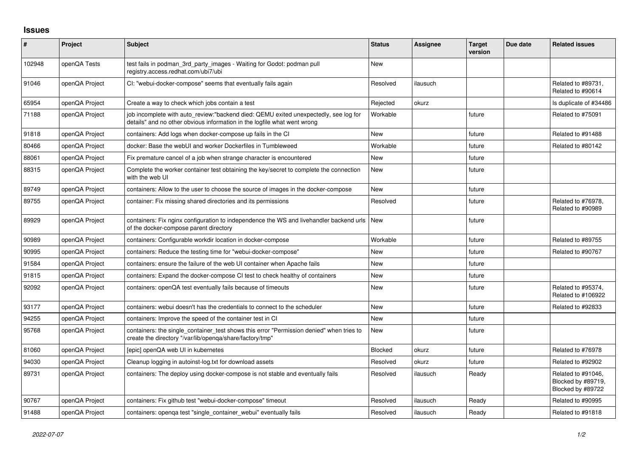## **Issues**

| $\#$   | Project        | <b>Subject</b>                                                                                                                                                   | <b>Status</b> | <b>Assignee</b> | <b>Target</b><br>version | Due date | <b>Related issues</b>                                         |
|--------|----------------|------------------------------------------------------------------------------------------------------------------------------------------------------------------|---------------|-----------------|--------------------------|----------|---------------------------------------------------------------|
| 102948 | openQA Tests   | test fails in podman_3rd_party_images - Waiting for Godot: podman pull<br>registry.access.redhat.com/ubi7/ubi                                                    | <b>New</b>    |                 |                          |          |                                                               |
| 91046  | openQA Project | CI: "webui-docker-compose" seems that eventually fails again                                                                                                     | Resolved      | ilausuch        |                          |          | Related to #89731.<br>Related to #90614                       |
| 65954  | openQA Project | Create a way to check which jobs contain a test                                                                                                                  | Rejected      | okurz           |                          |          | Is duplicate of #34486                                        |
| 71188  | openQA Project | job incomplete with auto_review:"backend died: QEMU exited unexpectedly, see log for<br>details" and no other obvious information in the logfile what went wrong | Workable      |                 | future                   |          | Related to #75091                                             |
| 91818  | openQA Project | containers: Add logs when docker-compose up fails in the CI                                                                                                      | <b>New</b>    |                 | future                   |          | Related to #91488                                             |
| 80466  | openQA Project | docker: Base the webUI and worker Dockerfiles in Tumbleweed                                                                                                      | Workable      |                 | future                   |          | Related to #80142                                             |
| 88061  | openQA Project | Fix premature cancel of a job when strange character is encountered                                                                                              | New           |                 | future                   |          |                                                               |
| 88315  | openQA Project | Complete the worker container test obtaining the key/secret to complete the connection<br>with the web UI                                                        | <b>New</b>    |                 | future                   |          |                                                               |
| 89749  | openQA Project | containers: Allow to the user to choose the source of images in the docker-compose                                                                               | <b>New</b>    |                 | future                   |          |                                                               |
| 89755  | openQA Project | container: Fix missing shared directories and its permissions                                                                                                    | Resolved      |                 | future                   |          | Related to #76978,<br>Related to #90989                       |
| 89929  | openQA Project | containers: Fix nginx configuration to independence the WS and livehandler backend urls   New<br>of the docker-compose parent directory                          |               |                 | future                   |          |                                                               |
| 90989  | openQA Project | containers: Configurable workdir location in docker-compose                                                                                                      | Workable      |                 | future                   |          | Related to #89755                                             |
| 90995  | openQA Project | containers: Reduce the testing time for "webui-docker-compose"                                                                                                   | <b>New</b>    |                 | future                   |          | Related to #90767                                             |
| 91584  | openQA Project | containers: ensure the failure of the web UI container when Apache fails                                                                                         | <b>New</b>    |                 | future                   |          |                                                               |
| 91815  | openQA Project | containers: Expand the docker-compose CI test to check healthy of containers                                                                                     | <b>New</b>    |                 | future                   |          |                                                               |
| 92092  | openQA Project | containers: openQA test eventually fails because of timeouts                                                                                                     | <b>New</b>    |                 | future                   |          | Related to #95374,<br>Related to #106922                      |
| 93177  | openQA Project | containers: webui doesn't has the credentials to connect to the scheduler                                                                                        | New           |                 | future                   |          | Related to #92833                                             |
| 94255  | openQA Project | containers: Improve the speed of the container test in CI                                                                                                        | <b>New</b>    |                 | future                   |          |                                                               |
| 95768  | openQA Project | containers: the single_container_test shows this error "Permission denied" when tries to<br>create the directory "/var/lib/openqa/share/factory/tmp"             | <b>New</b>    |                 | future                   |          |                                                               |
| 81060  | openQA Project | [epic] openQA web UI in kubernetes                                                                                                                               | Blocked       | okurz           | future                   |          | Related to #76978                                             |
| 94030  | openQA Project | Cleanup logging in autoinst-log.txt for download assets                                                                                                          | Resolved      | okurz           | future                   |          | Related to #92902                                             |
| 89731  | openQA Project | containers: The deploy using docker-compose is not stable and eventually fails                                                                                   | Resolved      | ilausuch        | Ready                    |          | Related to #91046,<br>Blocked by #89719,<br>Blocked by #89722 |
| 90767  | openQA Project | containers: Fix github test "webui-docker-compose" timeout                                                                                                       | Resolved      | ilausuch        | Ready                    |          | Related to #90995                                             |
| 91488  | openQA Project | containers: openqa test "single_container_webui" eventually fails                                                                                                | Resolved      | ilausuch        | Ready                    |          | Related to #91818                                             |